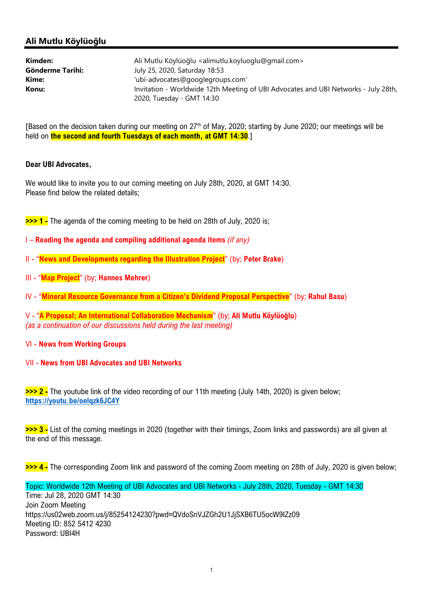# Ali Mutlu Köylüoğlu

| Kimden:          | Ali Mutlu Köylüoğlu <alimutlu.koyluoglu@gmail.com></alimutlu.koyluoglu@gmail.com>                               |
|------------------|-----------------------------------------------------------------------------------------------------------------|
| Gönderme Tarihi: | July 25, 2020, Saturday 18:53                                                                                   |
| Kime:            | 'ubi-advocates@googlegroups.com'                                                                                |
| Konu:            | Invitation - Worldwide 12th Meeting of UBI Advocates and UBI Networks - July 28th,<br>2020, Tuesday - GMT 14:30 |

[Based on the decision taken during our meeting on 27<sup>th</sup> of May, 2020; starting by June 2020; our meetings will be held on **the second and fourth Tuesdays of each month, at GMT 14:30.**]

#### Dear UBI Advocates,

We would like to invite you to our coming meeting on July 28th, 2020, at GMT 14:30. Please find below the related details;

>>> 1 - The agenda of the coming meeting to be held on 28th of July, 2020 is;

- I Reading the agenda and compiling additional agenda items (if any)
- II "News and Developments regarding the Illustration Project" (by; Peter Brake)
- III "Map Project" (by; Hannes Mehrer)
- IV "Mineral Resource Governance from a Citizen's Dividend Proposal Perspective" (by; Rahul Basu)

V - "A Proposal; An International Collaboration Mechanism" (by; Ali Mutlu Köylüoğlu) (as a continuation of our discussions held during the last meeting)

#### VI - News from Working Groups

VII - News from UBI Advocates and UBI Networks

>>> 2 - The youtube link of the video recording of our 11th meeting (July 14th, 2020) is given below; https://youtu.be/oelqzk6JC4Y

>>> 3 - List of the coming meetings in 2020 (together with their timings, Zoom links and passwords) are all given at the end of this message.

>>> 4 - The corresponding Zoom link and password of the coming Zoom meeting on 28th of July, 2020 is given below;

Topic: Worldwide 12th Meeting of UBI Advocates and UBI Networks - July 28th, 2020, Tuesday - GMT 14:30 Time: Jul 28, 2020 GMT 14:30 Join Zoom Meeting https://us02web.zoom.us/j/85254124230?pwd=QVdoSnVJZGh2U1JjSXB6TU5ocW9IZz09 Meeting ID: 852 5412 4230 Password: UBI4H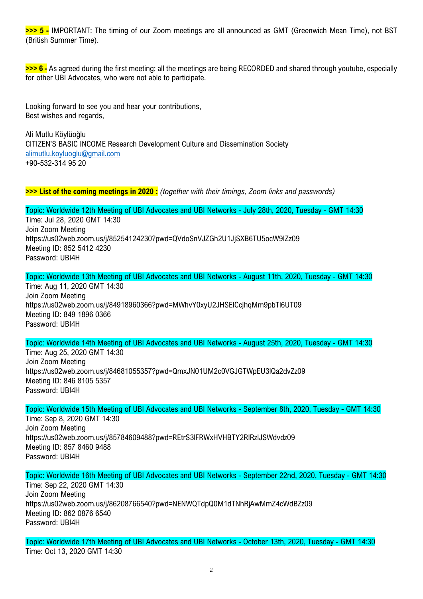>>> 5 - IMPORTANT: The timing of our Zoom meetings are all announced as GMT (Greenwich Mean Time), not BST (British Summer Time).

>>> 6 - As agreed during the first meeting; all the meetings are being RECORDED and shared through youtube, especially for other UBI Advocates, who were not able to participate.

Looking forward to see you and hear your contributions, Best wishes and regards,

Ali Mutlu Köylüoğlu CITIZEN'S BASIC INCOME Research Development Culture and Dissemination Society alimutlu.koyluoglu@gmail.com +90-532-314 95 20

>>> List of the coming meetings in 2020 : (together with their timings, Zoom links and passwords)

Topic: Worldwide 12th Meeting of UBI Advocates and UBI Networks - July 28th, 2020, Tuesday - GMT 14:30 Time: Jul 28, 2020 GMT 14:30 Join Zoom Meeting https://us02web.zoom.us/j/85254124230?pwd=QVdoSnVJZGh2U1JjSXB6TU5ocW9IZz09 Meeting ID: 852 5412 4230 Password: UBI4H

Topic: Worldwide 13th Meeting of UBI Advocates and UBI Networks - August 11th, 2020, Tuesday - GMT 14:30 Time: Aug 11, 2020 GMT 14:30 Join Zoom Meeting https://us02web.zoom.us/j/84918960366?pwd=MWhvY0xyU2JHSElCcjhqMm9pbTl6UT09 Meeting ID: 849 1896 0366 Password: UBI4H

Topic: Worldwide 14th Meeting of UBI Advocates and UBI Networks - August 25th, 2020, Tuesday - GMT 14:30

Time: Aug 25, 2020 GMT 14:30 Join Zoom Meeting https://us02web.zoom.us/j/84681055357?pwd=QmxJN01UM2c0VGJGTWpEU3lQa2dvZz09 Meeting ID: 846 8105 5357 Password: UBI4H

Topic: Worldwide 15th Meeting of UBI Advocates and UBI Networks - September 8th, 2020, Tuesday - GMT 14:30

Time: Sep 8, 2020 GMT 14:30 Join Zoom Meeting https://us02web.zoom.us/j/85784609488?pwd=REtrS3lFRWxHVHBTY2RlRzlJSWdvdz09 Meeting ID: 857 8460 9488 Password: UBI4H

Topic: Worldwide 16th Meeting of UBI Advocates and UBI Networks - September 22nd, 2020, Tuesday - GMT 14:30 Time: Sep 22, 2020 GMT 14:30 Join Zoom Meeting https://us02web.zoom.us/j/86208766540?pwd=NENWQTdpQ0M1dTNhRjAwMmZ4cWdBZz09 Meeting ID: 862 0876 6540 Password: UBI4H

Topic: Worldwide 17th Meeting of UBI Advocates and UBI Networks - October 13th, 2020, Tuesday - GMT 14:30 Time: Oct 13, 2020 GMT 14:30